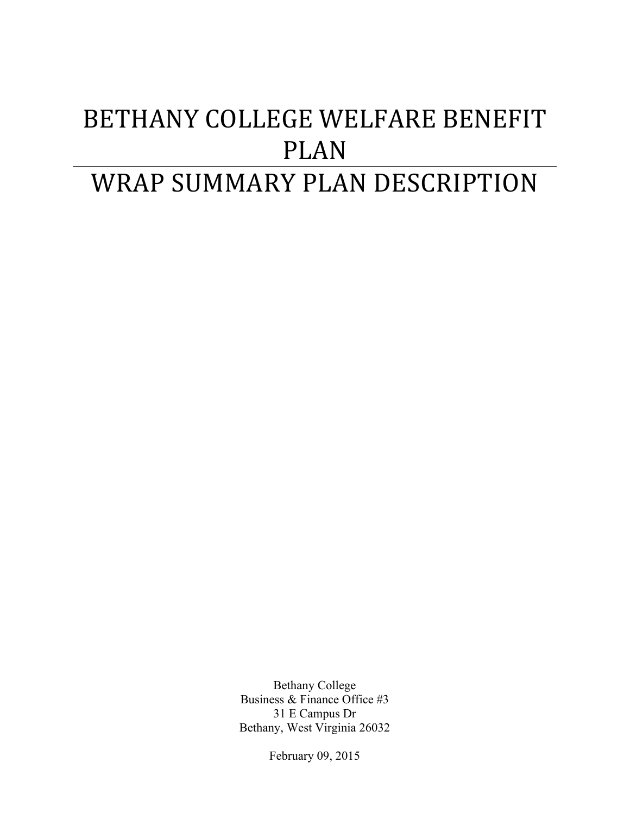# BETHANY COLLEGE WELFARE BENEFIT PLAN

# WRAP SUMMARY PLAN DESCRIPTION

Bethany College Business & Finance Office #3 31 E Campus Dr Bethany, West Virginia 26032

February 09, 2015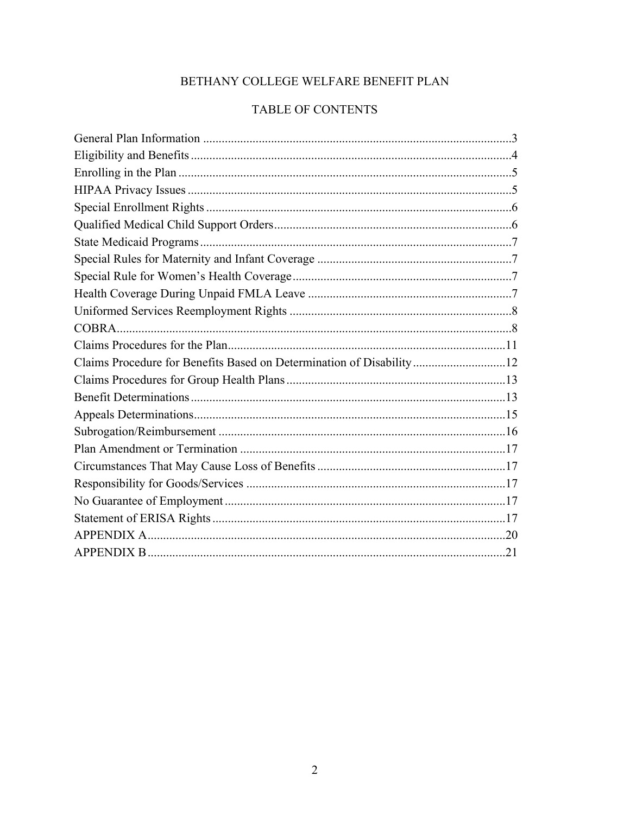# BETHANY COLLEGE WELFARE BENEFIT PLAN

# TABLE OF CONTENTS

| Claims Procedure for Benefits Based on Determination of Disability12 |  |
|----------------------------------------------------------------------|--|
|                                                                      |  |
|                                                                      |  |
|                                                                      |  |
|                                                                      |  |
|                                                                      |  |
|                                                                      |  |
|                                                                      |  |
|                                                                      |  |
|                                                                      |  |
|                                                                      |  |
|                                                                      |  |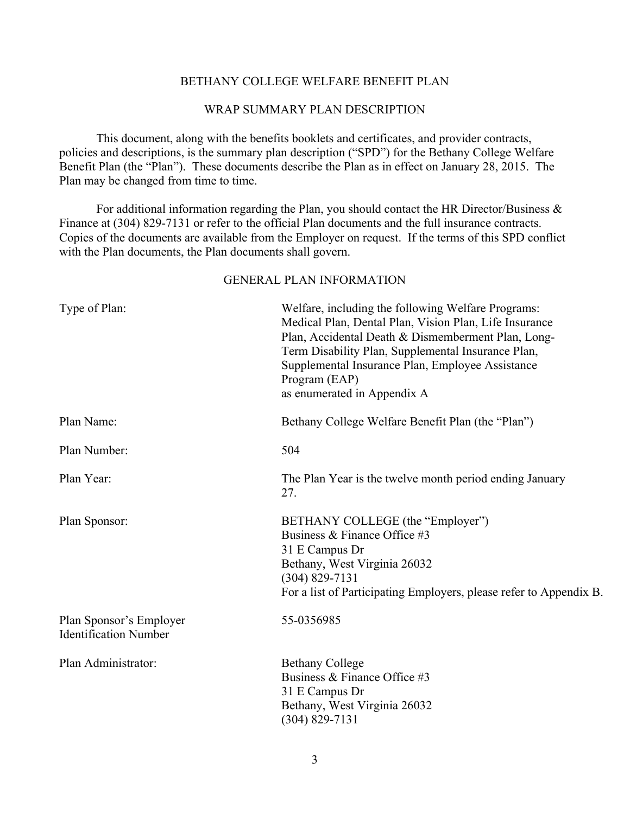# BETHANY COLLEGE WELFARE BENEFIT PLAN

#### WRAP SUMMARY PLAN DESCRIPTION

This document, along with the benefits booklets and certificates, and provider contracts, policies and descriptions, is the summary plan description ("SPD") for the Bethany College Welfare Benefit Plan (the "Plan"). These documents describe the Plan as in effect on January 28, 2015. The Plan may be changed from time to time.

For additional information regarding the Plan, you should contact the HR Director/Business & Finance at (304) 829-7131 or refer to the official Plan documents and the full insurance contracts. Copies of the documents are available from the Employer on request. If the terms of this SPD conflict with the Plan documents, the Plan documents shall govern.

#### <span id="page-2-0"></span>GENERAL PLAN INFORMATION

| Type of Plan:                                           | Welfare, including the following Welfare Programs:<br>Medical Plan, Dental Plan, Vision Plan, Life Insurance<br>Plan, Accidental Death & Dismemberment Plan, Long-<br>Term Disability Plan, Supplemental Insurance Plan,<br>Supplemental Insurance Plan, Employee Assistance<br>Program (EAP)<br>as enumerated in Appendix A |  |
|---------------------------------------------------------|------------------------------------------------------------------------------------------------------------------------------------------------------------------------------------------------------------------------------------------------------------------------------------------------------------------------------|--|
| Plan Name:                                              | Bethany College Welfare Benefit Plan (the "Plan")                                                                                                                                                                                                                                                                            |  |
| Plan Number:                                            | 504                                                                                                                                                                                                                                                                                                                          |  |
| Plan Year:                                              | The Plan Year is the twelve month period ending January<br>27.                                                                                                                                                                                                                                                               |  |
| Plan Sponsor:                                           | BETHANY COLLEGE (the "Employer")<br>Business & Finance Office #3<br>31 E Campus Dr<br>Bethany, West Virginia 26032<br>$(304) 829 - 7131$<br>For a list of Participating Employers, please refer to Appendix B.                                                                                                               |  |
| Plan Sponsor's Employer<br><b>Identification Number</b> | 55-0356985                                                                                                                                                                                                                                                                                                                   |  |
| Plan Administrator:                                     | <b>Bethany College</b><br>Business & Finance Office #3<br>31 E Campus Dr<br>Bethany, West Virginia 26032<br>$(304) 829 - 7131$                                                                                                                                                                                               |  |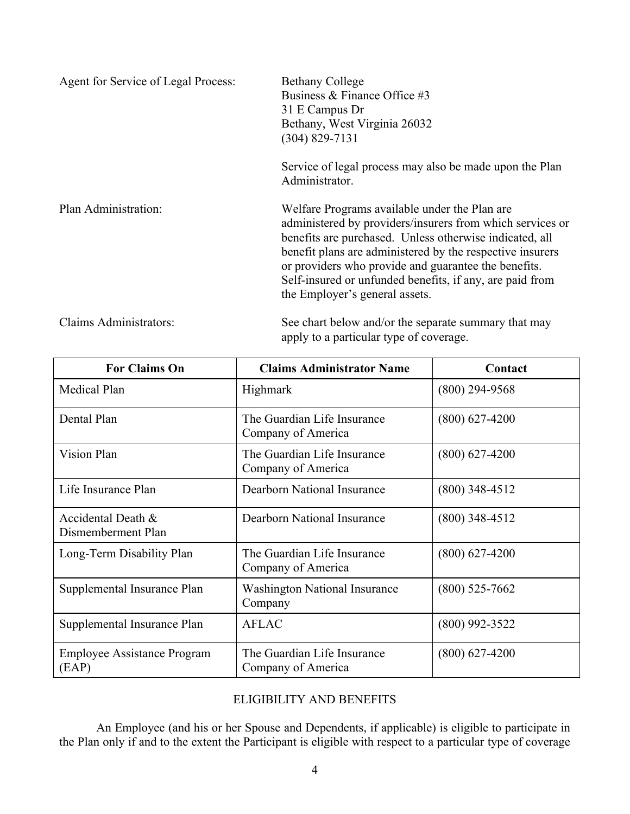| Agent for Service of Legal Process: | <b>Bethany College</b><br>Business & Finance Office #3<br>31 E Campus Dr<br>Bethany, West Virginia 26032<br>$(304) 829 - 7131$                                                                                                                                                                                                                                                            |  |
|-------------------------------------|-------------------------------------------------------------------------------------------------------------------------------------------------------------------------------------------------------------------------------------------------------------------------------------------------------------------------------------------------------------------------------------------|--|
|                                     | Service of legal process may also be made upon the Plan<br>Administrator.                                                                                                                                                                                                                                                                                                                 |  |
| Plan Administration:                | Welfare Programs available under the Plan are.<br>administered by providers/insurers from which services or<br>benefits are purchased. Unless otherwise indicated, all<br>benefit plans are administered by the respective insurers<br>or providers who provide and guarantee the benefits.<br>Self-insured or unfunded benefits, if any, are paid from<br>the Employer's general assets. |  |

Claims Administrators: See chart below and/or the separate summary that may apply to a particular type of coverage.

| <b>For Claims On</b>                        | <b>Claims Administrator Name</b>                  | Contact          |
|---------------------------------------------|---------------------------------------------------|------------------|
| Medical Plan                                | Highmark                                          | $(800)$ 294-9568 |
| Dental Plan                                 | The Guardian Life Insurance<br>Company of America | $(800)$ 627-4200 |
| Vision Plan                                 | The Guardian Life Insurance<br>Company of America | $(800)$ 627-4200 |
| Life Insurance Plan                         | Dearborn National Insurance                       | $(800)$ 348-4512 |
| Accidental Death &<br>Dismemberment Plan    | Dearborn National Insurance                       | $(800)$ 348-4512 |
| Long-Term Disability Plan                   | The Guardian Life Insurance<br>Company of America | $(800)$ 627-4200 |
| Supplemental Insurance Plan                 | <b>Washington National Insurance</b><br>Company   | $(800)$ 525-7662 |
| Supplemental Insurance Plan                 | <b>AFLAC</b>                                      | $(800)$ 992-3522 |
| <b>Employee Assistance Program</b><br>(EAP) | The Guardian Life Insurance<br>Company of America | $(800)$ 627-4200 |

# <span id="page-3-0"></span>ELIGIBILITY AND BENEFITS

An Employee (and his or her Spouse and Dependents, if applicable) is eligible to participate in the Plan only if and to the extent the Participant is eligible with respect to a particular type of coverage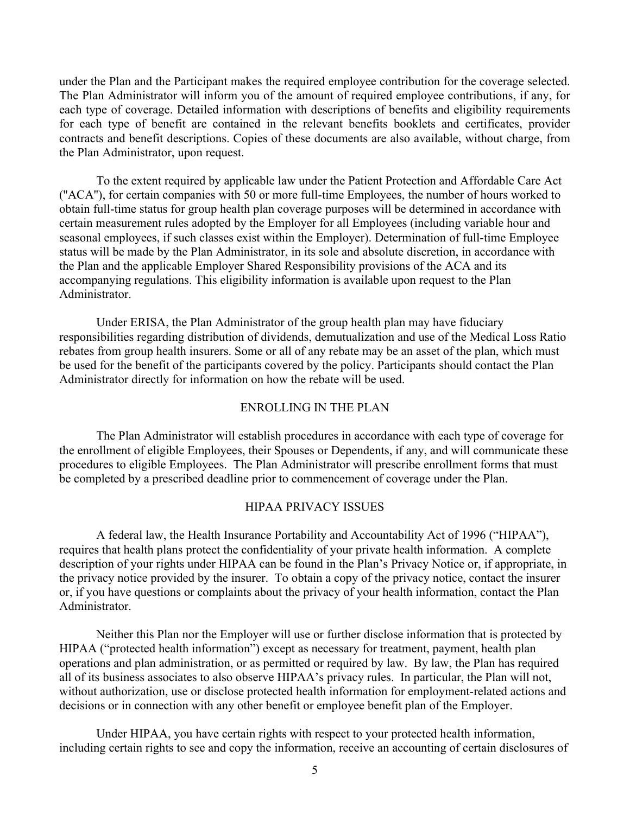under the Plan and the Participant makes the required employee contribution for the coverage selected. The Plan Administrator will inform you of the amount of required employee contributions, if any, for each type of coverage. Detailed information with descriptions of benefits and eligibility requirements for each type of benefit are contained in the relevant benefits booklets and certificates, provider contracts and benefit descriptions. Copies of these documents are also available, without charge, from the Plan Administrator, upon request.

To the extent required by applicable law under the Patient Protection and Affordable Care Act (''ACA''), for certain companies with 50 or more full-time Employees, the number of hours worked to obtain full-time status for group health plan coverage purposes will be determined in accordance with certain measurement rules adopted by the Employer for all Employees (including variable hour and seasonal employees, if such classes exist within the Employer). Determination of full-time Employee status will be made by the Plan Administrator, in its sole and absolute discretion, in accordance with the Plan and the applicable Employer Shared Responsibility provisions of the ACA and its accompanying regulations. This eligibility information is available upon request to the Plan Administrator.

Under ERISA, the Plan Administrator of the group health plan may have fiduciary responsibilities regarding distribution of dividends, demutualization and use of the Medical Loss Ratio rebates from group health insurers. Some or all of any rebate may be an asset of the plan, which must be used for the benefit of the participants covered by the policy. Participants should contact the Plan Administrator directly for information on how the rebate will be used.

#### <span id="page-4-0"></span>ENROLLING IN THE PLAN

The Plan Administrator will establish procedures in accordance with each type of coverage for the enrollment of eligible Employees, their Spouses or Dependents, if any, and will communicate these procedures to eligible Employees. The Plan Administrator will prescribe enrollment forms that must be completed by a prescribed deadline prior to commencement of coverage under the Plan.

#### <span id="page-4-1"></span>HIPAA PRIVACY ISSUES

A federal law, the Health Insurance Portability and Accountability Act of 1996 ("HIPAA"), requires that health plans protect the confidentiality of your private health information. A complete description of your rights under HIPAA can be found in the Plan's Privacy Notice or, if appropriate, in the privacy notice provided by the insurer. To obtain a copy of the privacy notice, contact the insurer or, if you have questions or complaints about the privacy of your health information, contact the Plan Administrator.

Neither this Plan nor the Employer will use or further disclose information that is protected by HIPAA ("protected health information") except as necessary for treatment, payment, health plan operations and plan administration, or as permitted or required by law. By law, the Plan has required all of its business associates to also observe HIPAA's privacy rules. In particular, the Plan will not, without authorization, use or disclose protected health information for employment-related actions and decisions or in connection with any other benefit or employee benefit plan of the Employer.

Under HIPAA, you have certain rights with respect to your protected health information, including certain rights to see and copy the information, receive an accounting of certain disclosures of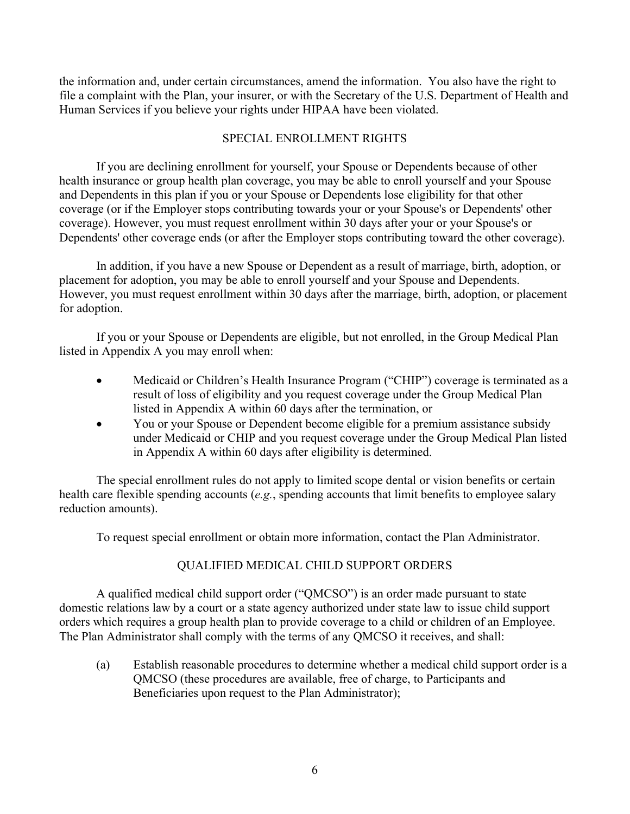the information and, under certain circumstances, amend the information. You also have the right to file a complaint with the Plan, your insurer, or with the Secretary of the U.S. Department of Health and Human Services if you believe your rights under HIPAA have been violated.

# <span id="page-5-0"></span>SPECIAL ENROLLMENT RIGHTS

If you are declining enrollment for yourself, your Spouse or Dependents because of other health insurance or group health plan coverage, you may be able to enroll yourself and your Spouse and Dependents in this plan if you or your Spouse or Dependents lose eligibility for that other coverage (or if the Employer stops contributing towards your or your Spouse's or Dependents' other coverage). However, you must request enrollment within 30 days after your or your Spouse's or Dependents' other coverage ends (or after the Employer stops contributing toward the other coverage).

In addition, if you have a new Spouse or Dependent as a result of marriage, birth, adoption, or placement for adoption, you may be able to enroll yourself and your Spouse and Dependents. However, you must request enrollment within 30 days after the marriage, birth, adoption, or placement for adoption.

If you or your Spouse or Dependents are eligible, but not enrolled, in the Group Medical Plan listed in Appendix A you may enroll when:

- Medicaid or Children's Health Insurance Program ("CHIP") coverage is terminated as a result of loss of eligibility and you request coverage under the Group Medical Plan listed in Appendix A within 60 days after the termination, or
- You or your Spouse or Dependent become eligible for a premium assistance subsidy under Medicaid or CHIP and you request coverage under the Group Medical Plan listed in Appendix A within 60 days after eligibility is determined.

The special enrollment rules do not apply to limited scope dental or vision benefits or certain health care flexible spending accounts (*e.g.*, spending accounts that limit benefits to employee salary reduction amounts).

To request special enrollment or obtain more information, contact the Plan Administrator.

# <span id="page-5-1"></span>QUALIFIED MEDICAL CHILD SUPPORT ORDERS

A qualified medical child support order ("QMCSO") is an order made pursuant to state domestic relations law by a court or a state agency authorized under state law to issue child support orders which requires a group health plan to provide coverage to a child or children of an Employee. The Plan Administrator shall comply with the terms of any QMCSO it receives, and shall:

(a) Establish reasonable procedures to determine whether a medical child support order is a QMCSO (these procedures are available, free of charge, to Participants and Beneficiaries upon request to the Plan Administrator);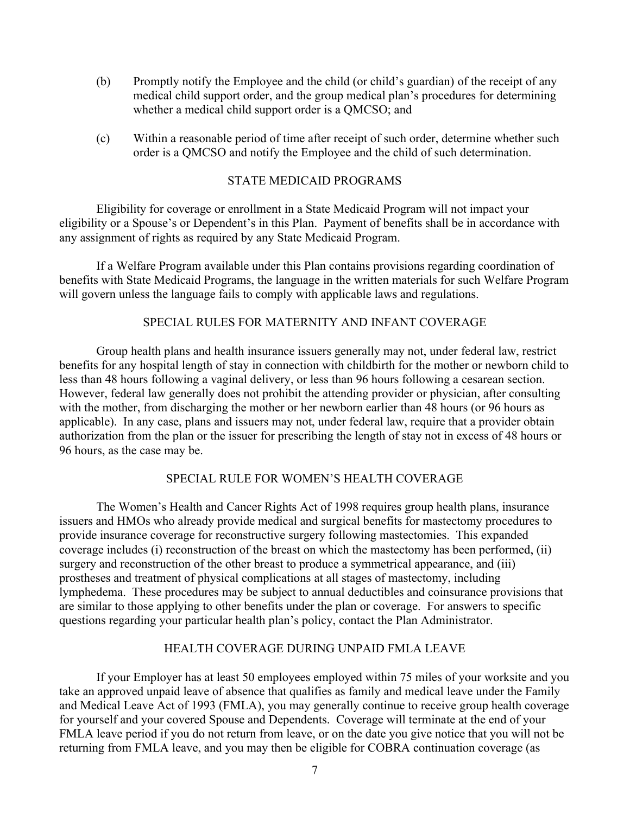- (b) Promptly notify the Employee and the child (or child's guardian) of the receipt of any medical child support order, and the group medical plan's procedures for determining whether a medical child support order is a QMCSO; and
- (c) Within a reasonable period of time after receipt of such order, determine whether such order is a QMCSO and notify the Employee and the child of such determination.

# <span id="page-6-1"></span><span id="page-6-0"></span>STATE MEDICAID PROGRAMS

Eligibility for coverage or enrollment in a State Medicaid Program will not impact your eligibility or a Spouse's or Dependent's in this Plan. Payment of benefits shall be in accordance with any assignment of rights as required by any State Medicaid Program.

If a Welfare Program available under this Plan contains provisions regarding coordination of benefits with State Medicaid Programs, the language in the written materials for such Welfare Program will govern unless the language fails to comply with applicable laws and regulations.

# SPECIAL RULES FOR MATERNITY AND INFANT COVERAGE

Group health plans and health insurance issuers generally may not, under federal law, restrict benefits for any hospital length of stay in connection with childbirth for the mother or newborn child to less than 48 hours following a vaginal delivery, or less than 96 hours following a cesarean section. However, federal law generally does not prohibit the attending provider or physician, after consulting with the mother, from discharging the mother or her newborn earlier than 48 hours (or 96 hours as applicable). In any case, plans and issuers may not, under federal law, require that a provider obtain authorization from the plan or the issuer for prescribing the length of stay not in excess of 48 hours or 96 hours, as the case may be.

# <span id="page-6-2"></span>SPECIAL RULE FOR WOMEN'S HEALTH COVERAGE

The Women's Health and Cancer Rights Act of 1998 requires group health plans, insurance issuers and HMOs who already provide medical and surgical benefits for mastectomy procedures to provide insurance coverage for reconstructive surgery following mastectomies. This expanded coverage includes (i) reconstruction of the breast on which the mastectomy has been performed, (ii) surgery and reconstruction of the other breast to produce a symmetrical appearance, and (iii) prostheses and treatment of physical complications at all stages of mastectomy, including lymphedema. These procedures may be subject to annual deductibles and coinsurance provisions that are similar to those applying to other benefits under the plan or coverage. For answers to specific questions regarding your particular health plan's policy, contact the Plan Administrator.

# <span id="page-6-3"></span>HEALTH COVERAGE DURING UNPAID FMLA LEAVE

If your Employer has at least 50 employees employed within 75 miles of your worksite and you take an approved unpaid leave of absence that qualifies as family and medical leave under the Family and Medical Leave Act of 1993 (FMLA), you may generally continue to receive group health coverage for yourself and your covered Spouse and Dependents. Coverage will terminate at the end of your FMLA leave period if you do not return from leave, or on the date you give notice that you will not be returning from FMLA leave, and you may then be eligible for COBRA continuation coverage (as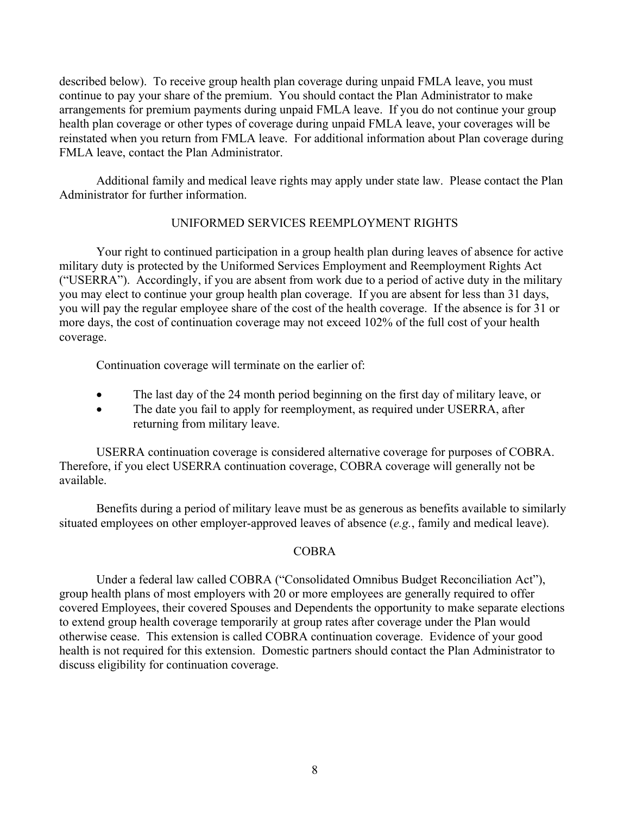described below). To receive group health plan coverage during unpaid FMLA leave, you must continue to pay your share of the premium. You should contact the Plan Administrator to make arrangements for premium payments during unpaid FMLA leave. If you do not continue your group health plan coverage or other types of coverage during unpaid FMLA leave, your coverages will be reinstated when you return from FMLA leave. For additional information about Plan coverage during FMLA leave, contact the Plan Administrator.

Additional family and medical leave rights may apply under state law. Please contact the Plan Administrator for further information.

# <span id="page-7-0"></span>UNIFORMED SERVICES REEMPLOYMENT RIGHTS

Your right to continued participation in a group health plan during leaves of absence for active military duty is protected by the Uniformed Services Employment and Reemployment Rights Act ("USERRA"). Accordingly, if you are absent from work due to a period of active duty in the military you may elect to continue your group health plan coverage. If you are absent for less than 31 days, you will pay the regular employee share of the cost of the health coverage. If the absence is for 31 or more days, the cost of continuation coverage may not exceed 102% of the full cost of your health coverage.

Continuation coverage will terminate on the earlier of:

- The last day of the 24 month period beginning on the first day of military leave, or
- The date you fail to apply for reemployment, as required under USERRA, after returning from military leave.

USERRA continuation coverage is considered alternative coverage for purposes of COBRA. Therefore, if you elect USERRA continuation coverage, COBRA coverage will generally not be available.

Benefits during a period of military leave must be as generous as benefits available to similarly situated employees on other employer-approved leaves of absence (*e.g.*, family and medical leave).

# <span id="page-7-1"></span>COBRA

Under a federal law called COBRA ("Consolidated Omnibus Budget Reconciliation Act"), group health plans of most employers with 20 or more employees are generally required to offer covered Employees, their covered Spouses and Dependents the opportunity to make separate elections to extend group health coverage temporarily at group rates after coverage under the Plan would otherwise cease. This extension is called COBRA continuation coverage. Evidence of your good health is not required for this extension. Domestic partners should contact the Plan Administrator to discuss eligibility for continuation coverage.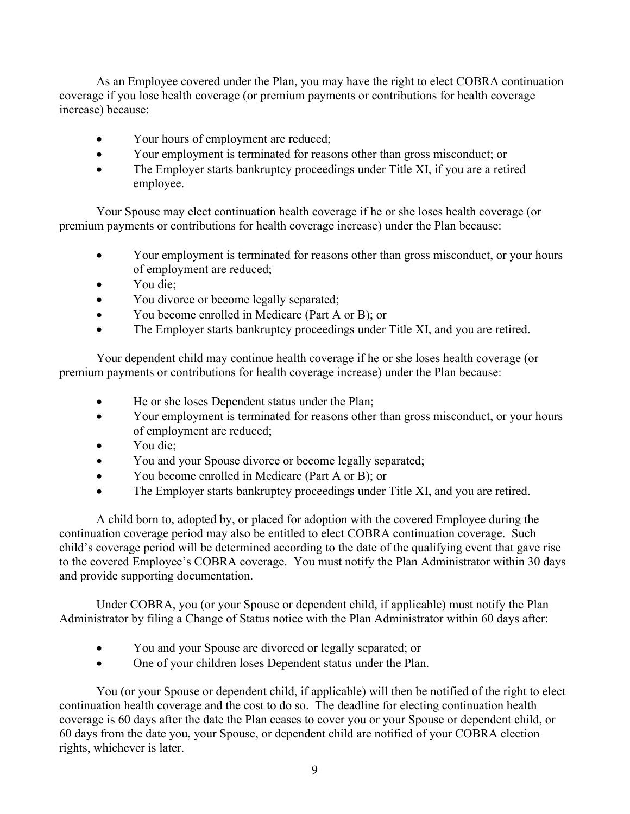As an Employee covered under the Plan, you may have the right to elect COBRA continuation coverage if you lose health coverage (or premium payments or contributions for health coverage increase) because:

- Your hours of employment are reduced;
- Your employment is terminated for reasons other than gross misconduct; or
- The Employer starts bankruptcy proceedings under Title XI, if you are a retired employee.

Your Spouse may elect continuation health coverage if he or she loses health coverage (or premium payments or contributions for health coverage increase) under the Plan because:

- Your employment is terminated for reasons other than gross misconduct, or your hours of employment are reduced;
- You die;
- You divorce or become legally separated;
- You become enrolled in Medicare (Part A or B); or
- The Employer starts bankruptcy proceedings under Title XI, and you are retired.

Your dependent child may continue health coverage if he or she loses health coverage (or premium payments or contributions for health coverage increase) under the Plan because:

- He or she loses Dependent status under the Plan;
- Your employment is terminated for reasons other than gross misconduct, or your hours of employment are reduced;
- You die;
- You and your Spouse divorce or become legally separated;
- You become enrolled in Medicare (Part A or B); or
- The Employer starts bankruptcy proceedings under Title XI, and you are retired.

A child born to, adopted by, or placed for adoption with the covered Employee during the continuation coverage period may also be entitled to elect COBRA continuation coverage. Such child's coverage period will be determined according to the date of the qualifying event that gave rise to the covered Employee's COBRA coverage. You must notify the Plan Administrator within 30 days and provide supporting documentation.

Under COBRA, you (or your Spouse or dependent child, if applicable) must notify the Plan Administrator by filing a Change of Status notice with the Plan Administrator within 60 days after:

- You and your Spouse are divorced or legally separated; or
- One of your children loses Dependent status under the Plan.

You (or your Spouse or dependent child, if applicable) will then be notified of the right to elect continuation health coverage and the cost to do so. The deadline for electing continuation health coverage is 60 days after the date the Plan ceases to cover you or your Spouse or dependent child, or 60 days from the date you, your Spouse, or dependent child are notified of your COBRA election rights, whichever is later.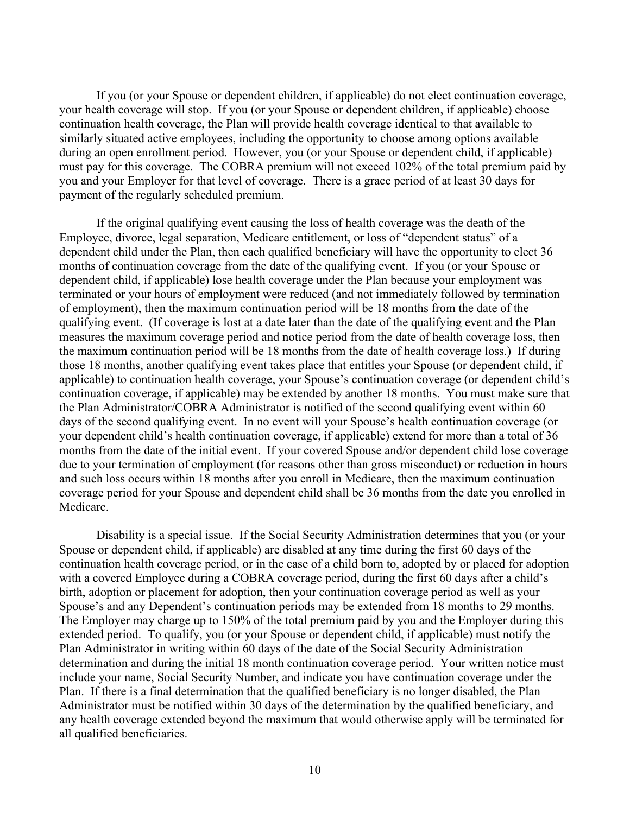If you (or your Spouse or dependent children, if applicable) do not elect continuation coverage, your health coverage will stop. If you (or your Spouse or dependent children, if applicable) choose continuation health coverage, the Plan will provide health coverage identical to that available to similarly situated active employees, including the opportunity to choose among options available during an open enrollment period. However, you (or your Spouse or dependent child, if applicable) must pay for this coverage. The COBRA premium will not exceed 102% of the total premium paid by you and your Employer for that level of coverage. There is a grace period of at least 30 days for payment of the regularly scheduled premium.

If the original qualifying event causing the loss of health coverage was the death of the Employee, divorce, legal separation, Medicare entitlement, or loss of "dependent status" of a dependent child under the Plan, then each qualified beneficiary will have the opportunity to elect 36 months of continuation coverage from the date of the qualifying event. If you (or your Spouse or dependent child, if applicable) lose health coverage under the Plan because your employment was terminated or your hours of employment were reduced (and not immediately followed by termination of employment), then the maximum continuation period will be 18 months from the date of the qualifying event. (If coverage is lost at a date later than the date of the qualifying event and the Plan measures the maximum coverage period and notice period from the date of health coverage loss, then the maximum continuation period will be 18 months from the date of health coverage loss.) If during those 18 months, another qualifying event takes place that entitles your Spouse (or dependent child, if applicable) to continuation health coverage, your Spouse's continuation coverage (or dependent child's continuation coverage, if applicable) may be extended by another 18 months. You must make sure that the Plan Administrator/COBRA Administrator is notified of the second qualifying event within 60 days of the second qualifying event. In no event will your Spouse's health continuation coverage (or your dependent child's health continuation coverage, if applicable) extend for more than a total of 36 months from the date of the initial event. If your covered Spouse and/or dependent child lose coverage due to your termination of employment (for reasons other than gross misconduct) or reduction in hours and such loss occurs within 18 months after you enroll in Medicare, then the maximum continuation coverage period for your Spouse and dependent child shall be 36 months from the date you enrolled in Medicare.

Disability is a special issue. If the Social Security Administration determines that you (or your Spouse or dependent child, if applicable) are disabled at any time during the first 60 days of the continuation health coverage period, or in the case of a child born to, adopted by or placed for adoption with a covered Employee during a COBRA coverage period, during the first 60 days after a child's birth, adoption or placement for adoption, then your continuation coverage period as well as your Spouse's and any Dependent's continuation periods may be extended from 18 months to 29 months. The Employer may charge up to 150% of the total premium paid by you and the Employer during this extended period. To qualify, you (or your Spouse or dependent child, if applicable) must notify the Plan Administrator in writing within 60 days of the date of the Social Security Administration determination and during the initial 18 month continuation coverage period. Your written notice must include your name, Social Security Number, and indicate you have continuation coverage under the Plan. If there is a final determination that the qualified beneficiary is no longer disabled, the Plan Administrator must be notified within 30 days of the determination by the qualified beneficiary, and any health coverage extended beyond the maximum that would otherwise apply will be terminated for all qualified beneficiaries.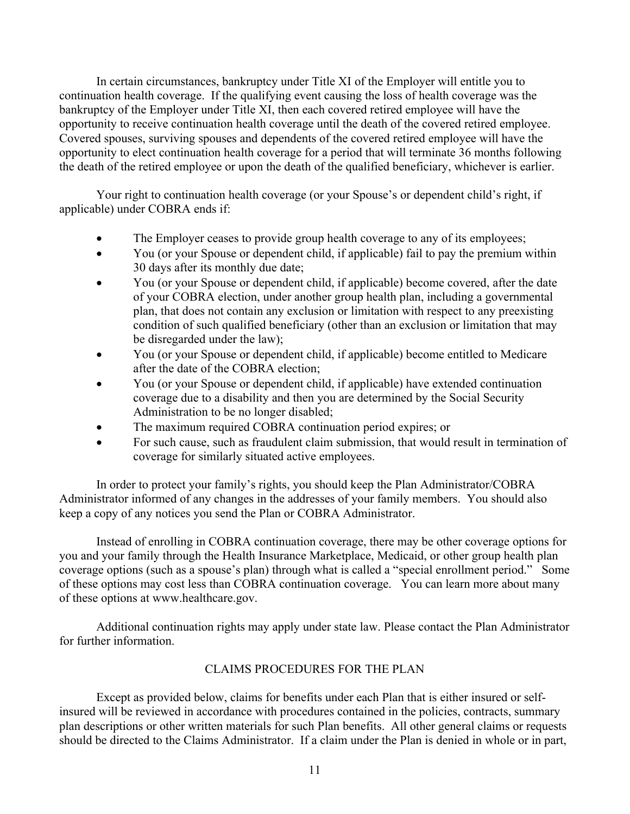In certain circumstances, bankruptcy under Title XI of the Employer will entitle you to continuation health coverage. If the qualifying event causing the loss of health coverage was the bankruptcy of the Employer under Title XI, then each covered retired employee will have the opportunity to receive continuation health coverage until the death of the covered retired employee. Covered spouses, surviving spouses and dependents of the covered retired employee will have the opportunity to elect continuation health coverage for a period that will terminate 36 months following the death of the retired employee or upon the death of the qualified beneficiary, whichever is earlier.

Your right to continuation health coverage (or your Spouse's or dependent child's right, if applicable) under COBRA ends if:

- The Employer ceases to provide group health coverage to any of its employees;
- You (or your Spouse or dependent child, if applicable) fail to pay the premium within 30 days after its monthly due date;
- You (or your Spouse or dependent child, if applicable) become covered, after the date of your COBRA election, under another group health plan, including a governmental plan, that does not contain any exclusion or limitation with respect to any preexisting condition of such qualified beneficiary (other than an exclusion or limitation that may be disregarded under the law);
- You (or your Spouse or dependent child, if applicable) become entitled to Medicare after the date of the COBRA election;
- You (or your Spouse or dependent child, if applicable) have extended continuation coverage due to a disability and then you are determined by the Social Security Administration to be no longer disabled;
- The maximum required COBRA continuation period expires; or
- For such cause, such as fraudulent claim submission, that would result in termination of coverage for similarly situated active employees.

In order to protect your family's rights, you should keep the Plan Administrator/COBRA Administrator informed of any changes in the addresses of your family members. You should also keep a copy of any notices you send the Plan or COBRA Administrator.

Instead of enrolling in COBRA continuation coverage, there may be other coverage options for you and your family through the Health Insurance Marketplace, Medicaid, or other group health plan coverage options (such as a spouse's plan) through what is called a "special enrollment period." Some of these options may cost less than COBRA continuation coverage. You can learn more about many of these options at www.healthcare.gov.

Additional continuation rights may apply under state law. Please contact the Plan Administrator for further information.

# <span id="page-10-0"></span>CLAIMS PROCEDURES FOR THE PLAN

Except as provided below, claims for benefits under each Plan that is either insured or selfinsured will be reviewed in accordance with procedures contained in the policies, contracts, summary plan descriptions or other written materials for such Plan benefits. All other general claims or requests should be directed to the Claims Administrator. If a claim under the Plan is denied in whole or in part,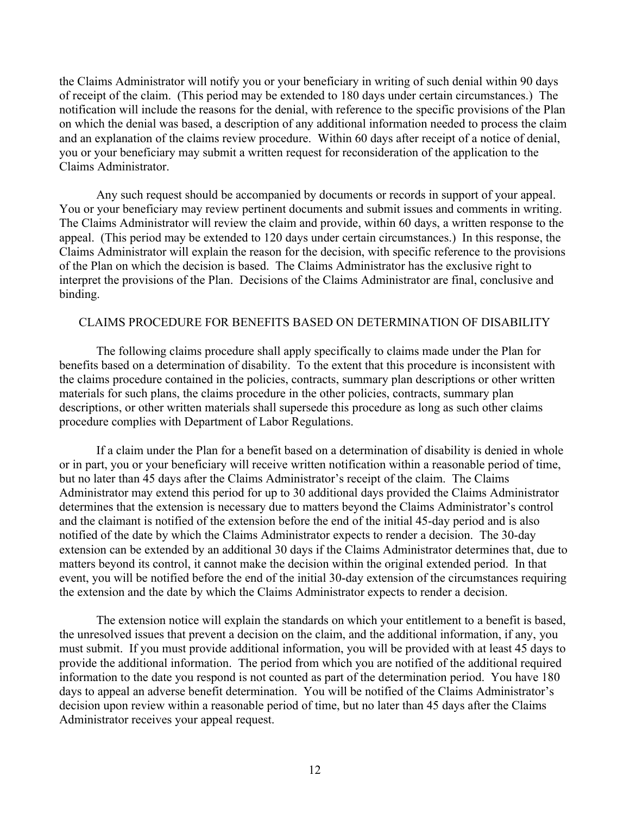the Claims Administrator will notify you or your beneficiary in writing of such denial within 90 days of receipt of the claim. (This period may be extended to 180 days under certain circumstances.) The notification will include the reasons for the denial, with reference to the specific provisions of the Plan on which the denial was based, a description of any additional information needed to process the claim and an explanation of the claims review procedure. Within 60 days after receipt of a notice of denial, you or your beneficiary may submit a written request for reconsideration of the application to the Claims Administrator.

Any such request should be accompanied by documents or records in support of your appeal. You or your beneficiary may review pertinent documents and submit issues and comments in writing. The Claims Administrator will review the claim and provide, within 60 days, a written response to the appeal. (This period may be extended to 120 days under certain circumstances.) In this response, the Claims Administrator will explain the reason for the decision, with specific reference to the provisions of the Plan on which the decision is based. The Claims Administrator has the exclusive right to interpret the provisions of the Plan. Decisions of the Claims Administrator are final, conclusive and binding.

#### <span id="page-11-0"></span>CLAIMS PROCEDURE FOR BENEFITS BASED ON DETERMINATION OF DISABILITY

The following claims procedure shall apply specifically to claims made under the Plan for benefits based on a determination of disability. To the extent that this procedure is inconsistent with the claims procedure contained in the policies, contracts, summary plan descriptions or other written materials for such plans, the claims procedure in the other policies, contracts, summary plan descriptions, or other written materials shall supersede this procedure as long as such other claims procedure complies with Department of Labor Regulations.

If a claim under the Plan for a benefit based on a determination of disability is denied in whole or in part, you or your beneficiary will receive written notification within a reasonable period of time, but no later than 45 days after the Claims Administrator's receipt of the claim. The Claims Administrator may extend this period for up to 30 additional days provided the Claims Administrator determines that the extension is necessary due to matters beyond the Claims Administrator's control and the claimant is notified of the extension before the end of the initial 45-day period and is also notified of the date by which the Claims Administrator expects to render a decision. The 30-day extension can be extended by an additional 30 days if the Claims Administrator determines that, due to matters beyond its control, it cannot make the decision within the original extended period. In that event, you will be notified before the end of the initial 30-day extension of the circumstances requiring the extension and the date by which the Claims Administrator expects to render a decision.

The extension notice will explain the standards on which your entitlement to a benefit is based, the unresolved issues that prevent a decision on the claim, and the additional information, if any, you must submit. If you must provide additional information, you will be provided with at least 45 days to provide the additional information. The period from which you are notified of the additional required information to the date you respond is not counted as part of the determination period. You have 180 days to appeal an adverse benefit determination. You will be notified of the Claims Administrator's decision upon review within a reasonable period of time, but no later than 45 days after the Claims Administrator receives your appeal request.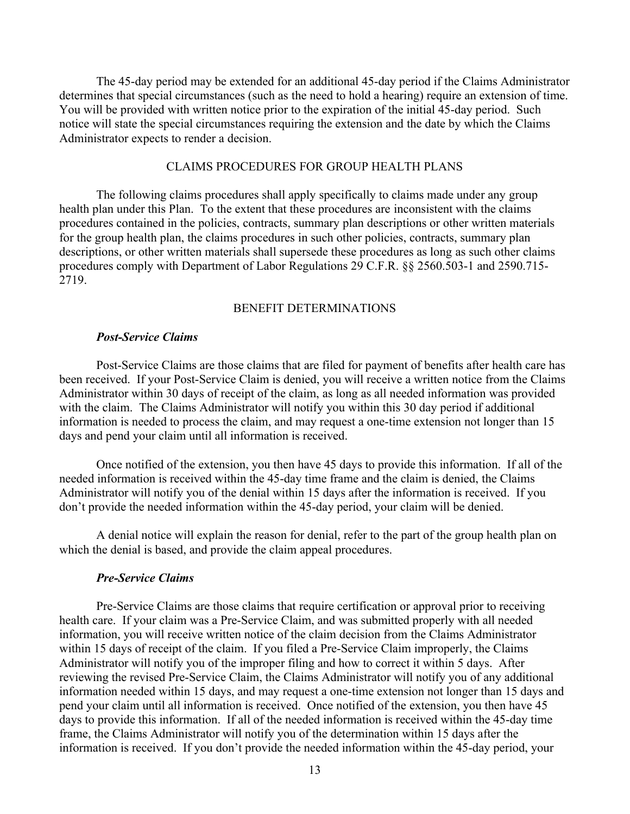The 45-day period may be extended for an additional 45-day period if the Claims Administrator determines that special circumstances (such as the need to hold a hearing) require an extension of time. You will be provided with written notice prior to the expiration of the initial 45-day period. Such notice will state the special circumstances requiring the extension and the date by which the Claims Administrator expects to render a decision.

#### CLAIMS PROCEDURES FOR GROUP HEALTH PLANS

The following claims procedures shall apply specifically to claims made under any group health plan under this Plan. To the extent that these procedures are inconsistent with the claims procedures contained in the policies, contracts, summary plan descriptions or other written materials for the group health plan, the claims procedures in such other policies, contracts, summary plan descriptions, or other written materials shall supersede these procedures as long as such other claims procedures comply with Department of Labor Regulations 29 C.F.R. §§ 2560.503-1 and 2590.715- 2719.

#### <span id="page-12-1"></span><span id="page-12-0"></span>BENEFIT DETERMINATIONS

#### *Post-Service Claims*

Post-Service Claims are those claims that are filed for payment of benefits after health care has been received. If your Post-Service Claim is denied, you will receive a written notice from the Claims Administrator within 30 days of receipt of the claim, as long as all needed information was provided with the claim. The Claims Administrator will notify you within this 30 day period if additional information is needed to process the claim, and may request a one-time extension not longer than 15 days and pend your claim until all information is received.

Once notified of the extension, you then have 45 days to provide this information. If all of the needed information is received within the 45-day time frame and the claim is denied, the Claims Administrator will notify you of the denial within 15 days after the information is received. If you don't provide the needed information within the 45-day period, your claim will be denied.

A denial notice will explain the reason for denial, refer to the part of the group health plan on which the denial is based, and provide the claim appeal procedures.

#### *Pre-Service Claims*

Pre-Service Claims are those claims that require certification or approval prior to receiving health care. If your claim was a Pre-Service Claim, and was submitted properly with all needed information, you will receive written notice of the claim decision from the Claims Administrator within 15 days of receipt of the claim. If you filed a Pre-Service Claim improperly, the Claims Administrator will notify you of the improper filing and how to correct it within 5 days. After reviewing the revised Pre-Service Claim, the Claims Administrator will notify you of any additional information needed within 15 days, and may request a one-time extension not longer than 15 days and pend your claim until all information is received. Once notified of the extension, you then have 45 days to provide this information. If all of the needed information is received within the 45-day time frame, the Claims Administrator will notify you of the determination within 15 days after the information is received. If you don't provide the needed information within the 45-day period, your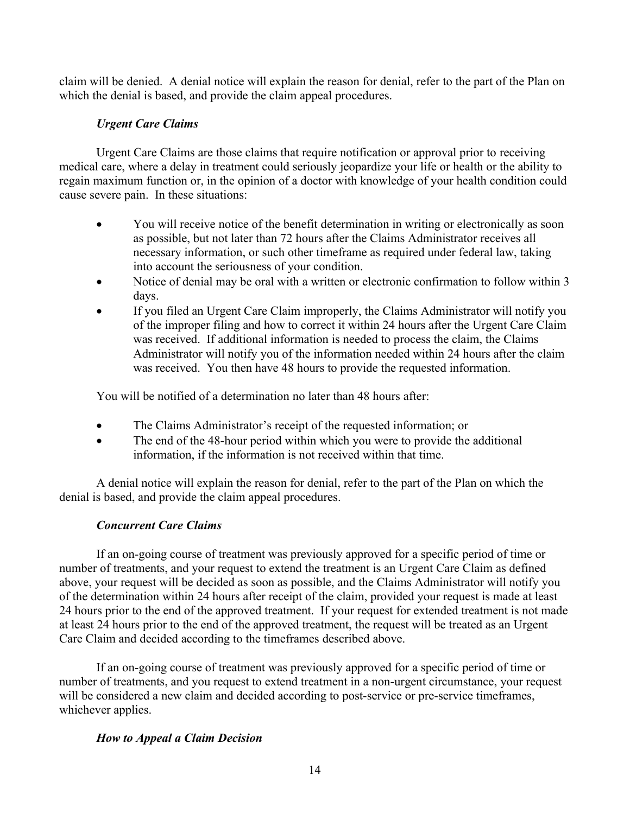claim will be denied. A denial notice will explain the reason for denial, refer to the part of the Plan on which the denial is based, and provide the claim appeal procedures.

# *Urgent Care Claims*

Urgent Care Claims are those claims that require notification or approval prior to receiving medical care, where a delay in treatment could seriously jeopardize your life or health or the ability to regain maximum function or, in the opinion of a doctor with knowledge of your health condition could cause severe pain. In these situations:

- You will receive notice of the benefit determination in writing or electronically as soon as possible, but not later than 72 hours after the Claims Administrator receives all necessary information, or such other timeframe as required under federal law, taking into account the seriousness of your condition.
- Notice of denial may be oral with a written or electronic confirmation to follow within 3 days.
- If you filed an Urgent Care Claim improperly, the Claims Administrator will notify you of the improper filing and how to correct it within 24 hours after the Urgent Care Claim was received. If additional information is needed to process the claim, the Claims Administrator will notify you of the information needed within 24 hours after the claim was received. You then have 48 hours to provide the requested information.

You will be notified of a determination no later than 48 hours after:

- The Claims Administrator's receipt of the requested information; or
- The end of the 48-hour period within which you were to provide the additional information, if the information is not received within that time.

A denial notice will explain the reason for denial, refer to the part of the Plan on which the denial is based, and provide the claim appeal procedures.

# *Concurrent Care Claims*

If an on-going course of treatment was previously approved for a specific period of time or number of treatments, and your request to extend the treatment is an Urgent Care Claim as defined above, your request will be decided as soon as possible, and the Claims Administrator will notify you of the determination within 24 hours after receipt of the claim, provided your request is made at least 24 hours prior to the end of the approved treatment. If your request for extended treatment is not made at least 24 hours prior to the end of the approved treatment, the request will be treated as an Urgent Care Claim and decided according to the timeframes described above.

If an on-going course of treatment was previously approved for a specific period of time or number of treatments, and you request to extend treatment in a non-urgent circumstance, your request will be considered a new claim and decided according to post-service or pre-service timeframes, whichever applies.

# *How to Appeal a Claim Decision*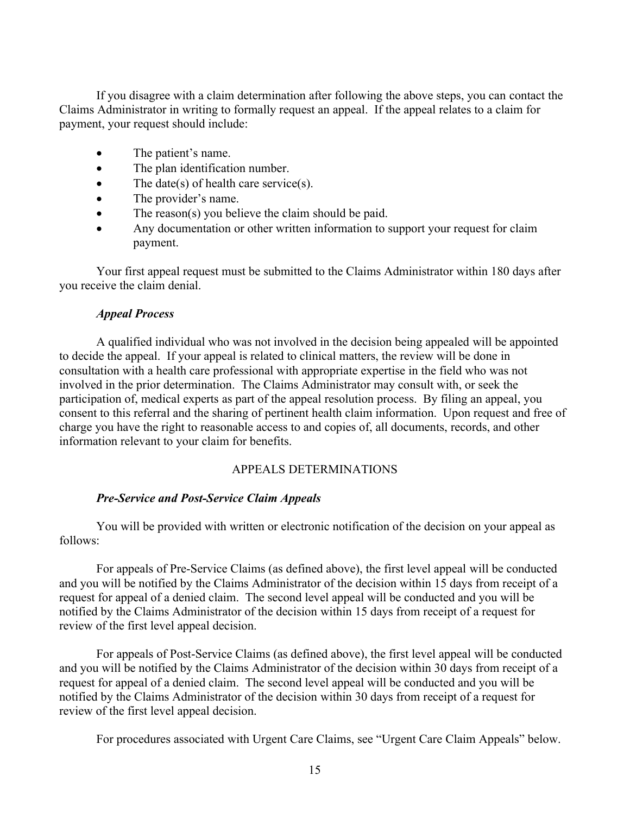If you disagree with a claim determination after following the above steps, you can contact the Claims Administrator in writing to formally request an appeal. If the appeal relates to a claim for payment, your request should include:

- The patient's name.
- The plan identification number.
- $\bullet$  The date(s) of health care service(s).
- The provider's name.
- The reason(s) you believe the claim should be paid.
- Any documentation or other written information to support your request for claim payment.

Your first appeal request must be submitted to the Claims Administrator within 180 days after you receive the claim denial.

# *Appeal Process*

A qualified individual who was not involved in the decision being appealed will be appointed to decide the appeal. If your appeal is related to clinical matters, the review will be done in consultation with a health care professional with appropriate expertise in the field who was not involved in the prior determination. The Claims Administrator may consult with, or seek the participation of, medical experts as part of the appeal resolution process. By filing an appeal, you consent to this referral and the sharing of pertinent health claim information. Upon request and free of charge you have the right to reasonable access to and copies of, all documents, records, and other information relevant to your claim for benefits.

# <span id="page-14-0"></span>APPEALS DETERMINATIONS

# *Pre-Service and Post-Service Claim Appeals*

You will be provided with written or electronic notification of the decision on your appeal as follows:

For appeals of Pre-Service Claims (as defined above), the first level appeal will be conducted and you will be notified by the Claims Administrator of the decision within 15 days from receipt of a request for appeal of a denied claim. The second level appeal will be conducted and you will be notified by the Claims Administrator of the decision within 15 days from receipt of a request for review of the first level appeal decision.

For appeals of Post-Service Claims (as defined above), the first level appeal will be conducted and you will be notified by the Claims Administrator of the decision within 30 days from receipt of a request for appeal of a denied claim. The second level appeal will be conducted and you will be notified by the Claims Administrator of the decision within 30 days from receipt of a request for review of the first level appeal decision.

For procedures associated with Urgent Care Claims, see "Urgent Care Claim Appeals" below.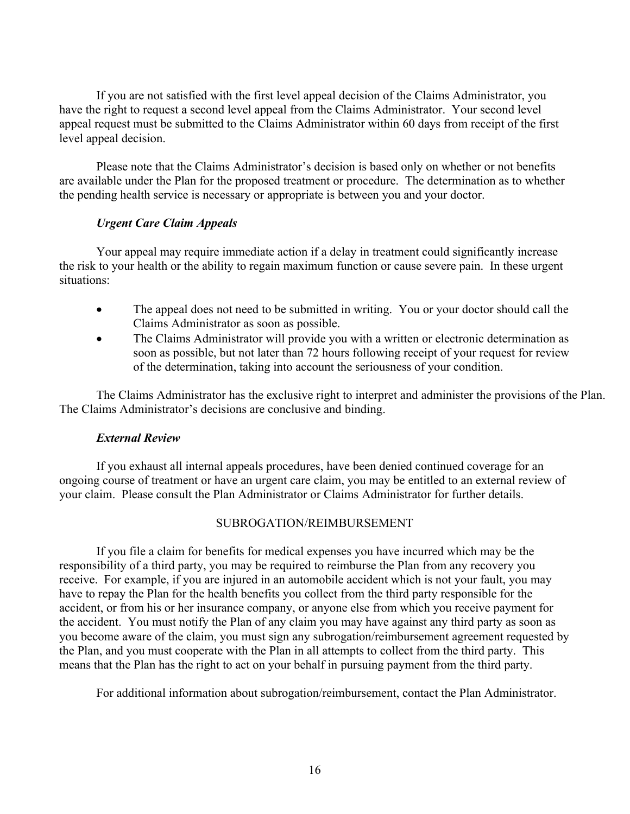If you are not satisfied with the first level appeal decision of the Claims Administrator, you have the right to request a second level appeal from the Claims Administrator. Your second level appeal request must be submitted to the Claims Administrator within 60 days from receipt of the first level appeal decision.

Please note that the Claims Administrator's decision is based only on whether or not benefits are available under the Plan for the proposed treatment or procedure. The determination as to whether the pending health service is necessary or appropriate is between you and your doctor.

# *Urgent Care Claim Appeals*

Your appeal may require immediate action if a delay in treatment could significantly increase the risk to your health or the ability to regain maximum function or cause severe pain. In these urgent situations:

- The appeal does not need to be submitted in writing. You or your doctor should call the Claims Administrator as soon as possible.
- The Claims Administrator will provide you with a written or electronic determination as soon as possible, but not later than 72 hours following receipt of your request for review of the determination, taking into account the seriousness of your condition.

The Claims Administrator has the exclusive right to interpret and administer the provisions of the Plan. The Claims Administrator's decisions are conclusive and binding.

# *External Review*

If you exhaust all internal appeals procedures, have been denied continued coverage for an ongoing course of treatment or have an urgent care claim, you may be entitled to an external review of your claim. Please consult the Plan Administrator or Claims Administrator for further details.

# <span id="page-15-0"></span>SUBROGATION/REIMBURSEMENT

If you file a claim for benefits for medical expenses you have incurred which may be the responsibility of a third party, you may be required to reimburse the Plan from any recovery you receive. For example, if you are injured in an automobile accident which is not your fault, you may have to repay the Plan for the health benefits you collect from the third party responsible for the accident, or from his or her insurance company, or anyone else from which you receive payment for the accident. You must notify the Plan of any claim you may have against any third party as soon as you become aware of the claim, you must sign any subrogation/reimbursement agreement requested by the Plan, and you must cooperate with the Plan in all attempts to collect from the third party. This means that the Plan has the right to act on your behalf in pursuing payment from the third party.

For additional information about subrogation/reimbursement, contact the Plan Administrator.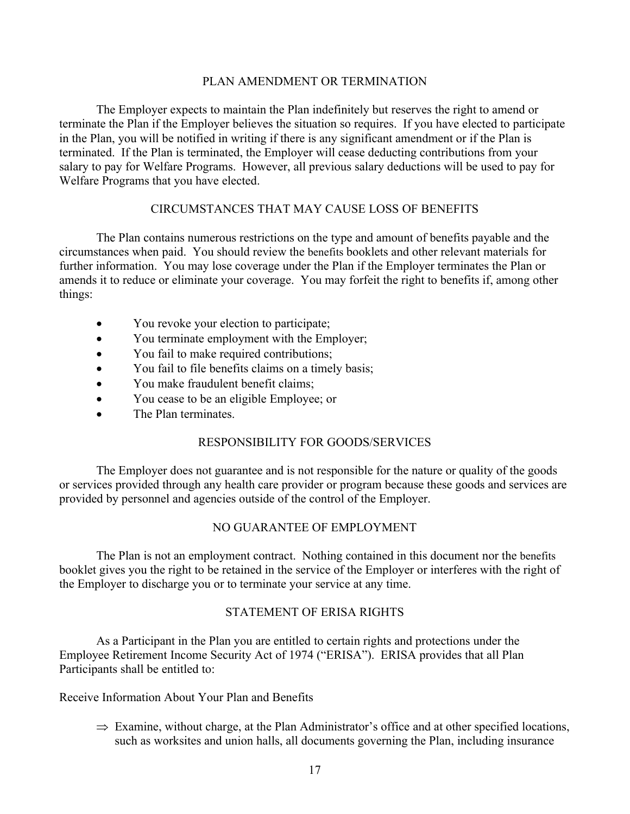#### <span id="page-16-1"></span><span id="page-16-0"></span>PLAN AMENDMENT OR TERMINATION

The Employer expects to maintain the Plan indefinitely but reserves the right to amend or terminate the Plan if the Employer believes the situation so requires. If you have elected to participate in the Plan, you will be notified in writing if there is any significant amendment or if the Plan is terminated. If the Plan is terminated, the Employer will cease deducting contributions from your salary to pay for Welfare Programs. However, all previous salary deductions will be used to pay for Welfare Programs that you have elected.

# CIRCUMSTANCES THAT MAY CAUSE LOSS OF BENEFITS

The Plan contains numerous restrictions on the type and amount of benefits payable and the circumstances when paid. You should review the benefits booklets and other relevant materials for further information. You may lose coverage under the Plan if the Employer terminates the Plan or amends it to reduce or eliminate your coverage. You may forfeit the right to benefits if, among other things:

- You revoke your election to participate;
- You terminate employment with the Employer;
- You fail to make required contributions;
- You fail to file benefits claims on a timely basis;
- You make fraudulent benefit claims;
- You cease to be an eligible Employee; or
- The Plan terminates.

# <span id="page-16-2"></span>RESPONSIBILITY FOR GOODS/SERVICES

The Employer does not guarantee and is not responsible for the nature or quality of the goods or services provided through any health care provider or program because these goods and services are provided by personnel and agencies outside of the control of the Employer.

# <span id="page-16-3"></span>NO GUARANTEE OF EMPLOYMENT

The Plan is not an employment contract. Nothing contained in this document nor the benefits booklet gives you the right to be retained in the service of the Employer or interferes with the right of the Employer to discharge you or to terminate your service at any time.

# <span id="page-16-4"></span>STATEMENT OF ERISA RIGHTS

As a Participant in the Plan you are entitled to certain rights and protections under the Employee Retirement Income Security Act of 1974 ("ERISA"). ERISA provides that all Plan Participants shall be entitled to:

Receive Information About Your Plan and Benefits

 $\Rightarrow$  Examine, without charge, at the Plan Administrator's office and at other specified locations, such as worksites and union halls, all documents governing the Plan, including insurance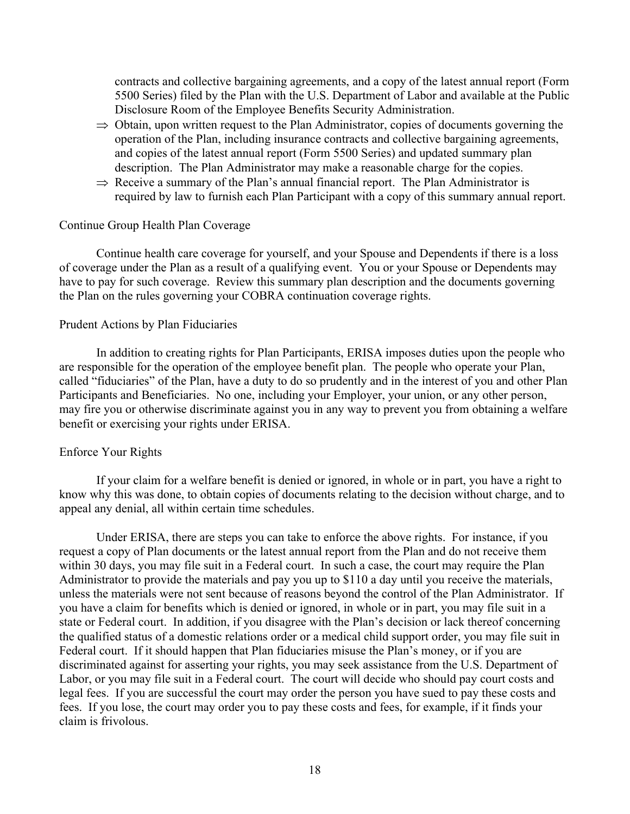contracts and collective bargaining agreements, and a copy of the latest annual report (Form 5500 Series) filed by the Plan with the U.S. Department of Labor and available at the Public Disclosure Room of the Employee Benefits Security Administration.

- $\Rightarrow$  Obtain, upon written request to the Plan Administrator, copies of documents governing the operation of the Plan, including insurance contracts and collective bargaining agreements, and copies of the latest annual report (Form 5500 Series) and updated summary plan description. The Plan Administrator may make a reasonable charge for the copies.
- $\Rightarrow$  Receive a summary of the Plan's annual financial report. The Plan Administrator is required by law to furnish each Plan Participant with a copy of this summary annual report.

#### Continue Group Health Plan Coverage

Continue health care coverage for yourself, and your Spouse and Dependents if there is a loss of coverage under the Plan as a result of a qualifying event. You or your Spouse or Dependents may have to pay for such coverage. Review this summary plan description and the documents governing the Plan on the rules governing your COBRA continuation coverage rights.

#### Prudent Actions by Plan Fiduciaries

In addition to creating rights for Plan Participants, ERISA imposes duties upon the people who are responsible for the operation of the employee benefit plan. The people who operate your Plan, called "fiduciaries" of the Plan, have a duty to do so prudently and in the interest of you and other Plan Participants and Beneficiaries. No one, including your Employer, your union, or any other person, may fire you or otherwise discriminate against you in any way to prevent you from obtaining a welfare benefit or exercising your rights under ERISA.

# Enforce Your Rights

If your claim for a welfare benefit is denied or ignored, in whole or in part, you have a right to know why this was done, to obtain copies of documents relating to the decision without charge, and to appeal any denial, all within certain time schedules.

Under ERISA, there are steps you can take to enforce the above rights. For instance, if you request a copy of Plan documents or the latest annual report from the Plan and do not receive them within 30 days, you may file suit in a Federal court. In such a case, the court may require the Plan Administrator to provide the materials and pay you up to \$110 a day until you receive the materials, unless the materials were not sent because of reasons beyond the control of the Plan Administrator. If you have a claim for benefits which is denied or ignored, in whole or in part, you may file suit in a state or Federal court. In addition, if you disagree with the Plan's decision or lack thereof concerning the qualified status of a domestic relations order or a medical child support order, you may file suit in Federal court. If it should happen that Plan fiduciaries misuse the Plan's money, or if you are discriminated against for asserting your rights, you may seek assistance from the U.S. Department of Labor, or you may file suit in a Federal court. The court will decide who should pay court costs and legal fees. If you are successful the court may order the person you have sued to pay these costs and fees. If you lose, the court may order you to pay these costs and fees, for example, if it finds your claim is frivolous.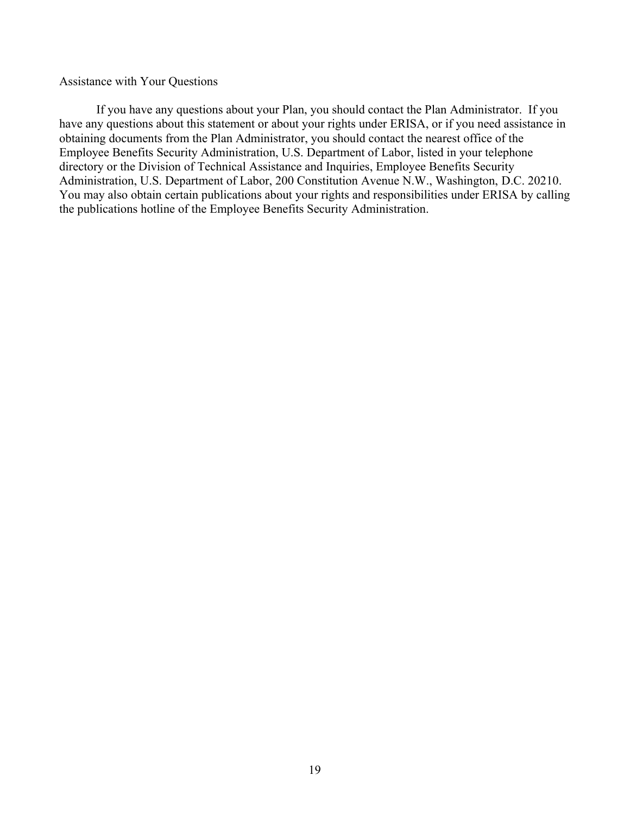#### Assistance with Your Questions

If you have any questions about your Plan, you should contact the Plan Administrator. If you have any questions about this statement or about your rights under ERISA, or if you need assistance in obtaining documents from the Plan Administrator, you should contact the nearest office of the Employee Benefits Security Administration, U.S. Department of Labor, listed in your telephone directory or the Division of Technical Assistance and Inquiries, Employee Benefits Security Administration, U.S. Department of Labor, 200 Constitution Avenue N.W., Washington, D.C. 20210. You may also obtain certain publications about your rights and responsibilities under ERISA by calling the publications hotline of the Employee Benefits Security Administration.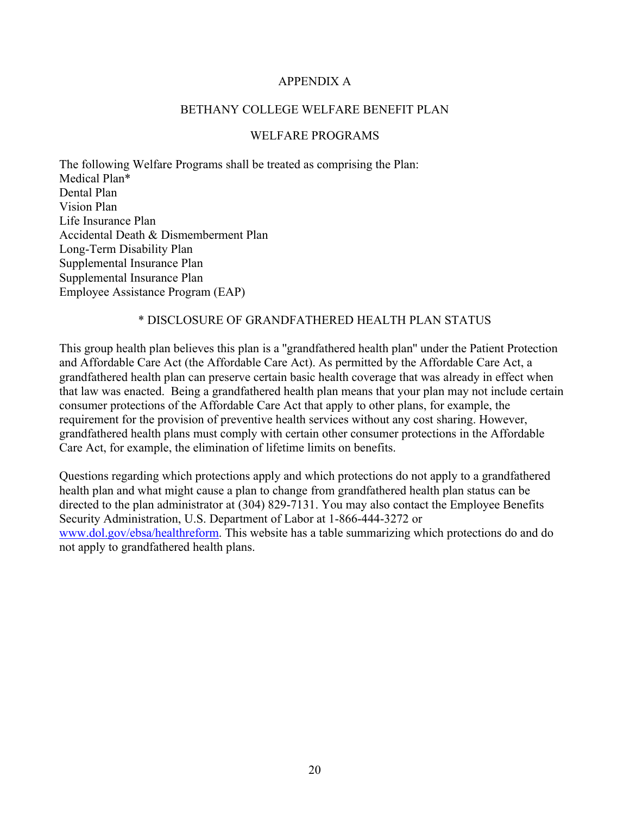# <span id="page-19-0"></span>APPENDIX A

# BETHANY COLLEGE WELFARE BENEFIT PLAN

# WELFARE PROGRAMS

The following Welfare Programs shall be treated as comprising the Plan: Medical Plan\* Dental Plan Vision Plan Life Insurance Plan Accidental Death & Dismemberment Plan Long-Term Disability Plan Supplemental Insurance Plan Supplemental Insurance Plan Employee Assistance Program (EAP)

# \* DISCLOSURE OF GRANDFATHERED HEALTH PLAN STATUS

This group health plan believes this plan is a ''grandfathered health plan'' under the Patient Protection and Affordable Care Act (the Affordable Care Act). As permitted by the Affordable Care Act, a grandfathered health plan can preserve certain basic health coverage that was already in effect when that law was enacted. Being a grandfathered health plan means that your plan may not include certain consumer protections of the Affordable Care Act that apply to other plans, for example, the requirement for the provision of preventive health services without any cost sharing. However, grandfathered health plans must comply with certain other consumer protections in the Affordable Care Act, for example, the elimination of lifetime limits on benefits.

Questions regarding which protections apply and which protections do not apply to a grandfathered health plan and what might cause a plan to change from grandfathered health plan status can be directed to the plan administrator at (304) 829-7131. You may also contact the Employee Benefits Security Administration, U.S. Department of Labor at 1-866-444-3272 or www.dol.gov/ebsa/healthreform. This website has a table summarizing which protections do and do not apply to grandfathered health plans.